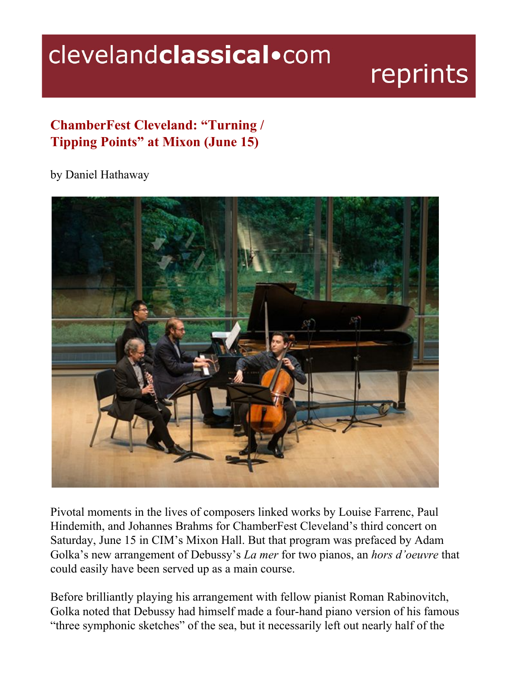## clevelandclassical.com

## reprints

## **ChamberFest Cleveland: "Turning / Tipping Points" at Mixon (June 15)**

## by Daniel Hathaway



Pivotal moments in the lives of composers linked works by Louise Farrenc, Paul Hindemith, and Johannes Brahms for ChamberFest Cleveland's third concert on Saturday, June 15 in CIM's Mixon Hall. But that program was prefaced by Adam Golka's new arrangement of Debussy's *La mer* for two pianos, an *hors d'oeuvre* that could easily have been served up as a main course.

Before brilliantly playing his arrangement with fellow pianist Roman Rabinovitch, Golka noted that Debussy had himself made a four-hand piano version of his famous "three symphonic sketches" of the sea, but it necessarily left out nearly half of the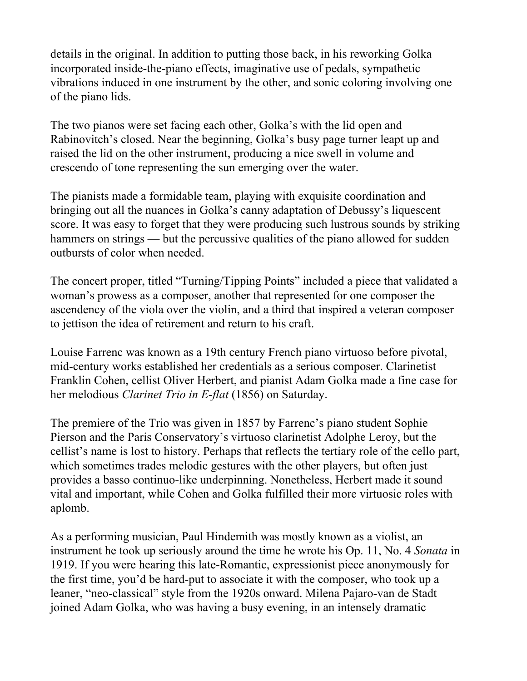details in the original. In addition to putting those back, in his reworking Golka incorporated inside-the-piano effects, imaginative use of pedals, sympathetic vibrations induced in one instrument by the other, and sonic coloring involving one of the piano lids.

The two pianos were set facing each other, Golka's with the lid open and Rabinovitch's closed. Near the beginning, Golka's busy page turner leapt up and raised the lid on the other instrument, producing a nice swell in volume and crescendo of tone representing the sun emerging over the water.

The pianists made a formidable team, playing with exquisite coordination and bringing out all the nuances in Golka's canny adaptation of Debussy's liquescent score. It was easy to forget that they were producing such lustrous sounds by striking hammers on strings — but the percussive qualities of the piano allowed for sudden outbursts of color when needed.

The concert proper, titled "Turning/Tipping Points" included a piece that validated a woman's prowess as a composer, another that represented for one composer the ascendency of the viola over the violin, and a third that inspired a veteran composer to jettison the idea of retirement and return to his craft.

Louise Farrenc was known as a 19th century French piano virtuoso before pivotal, mid-century works established her credentials as a serious composer. Clarinetist Franklin Cohen, cellist Oliver Herbert, and pianist Adam Golka made a fine case for her melodious *Clarinet Trio in E-flat* (1856) on Saturday.

The premiere of the Trio was given in 1857 by Farrenc's piano student Sophie Pierson and the Paris Conservatory's virtuoso clarinetist Adolphe Leroy, but the cellist's name is lost to history. Perhaps that reflects the tertiary role of the cello part, which sometimes trades melodic gestures with the other players, but often just provides a basso continuo-like underpinning. Nonetheless, Herbert made it sound vital and important, while Cohen and Golka fulfilled their more virtuosic roles with aplomb.

As a performing musician, Paul Hindemith was mostly known as a violist, an instrument he took up seriously around the time he wrote his Op. 11, No. 4 *Sonata* in 1919. If you were hearing this late-Romantic, expressionist piece anonymously for the first time, you'd be hard-put to associate it with the composer, who took up a leaner, "neo-classical" style from the 1920s onward. Milena Pajaro-van de Stadt joined Adam Golka, who was having a busy evening, in an intensely dramatic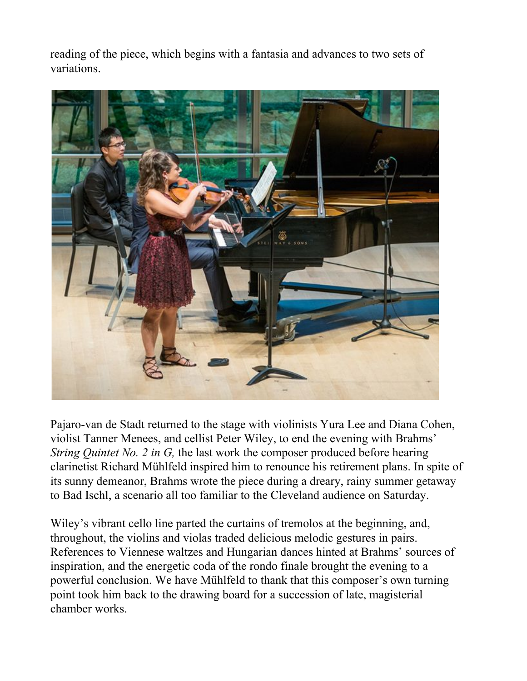reading of the piece, which begins with a fantasia and advances to two sets of variations.



Pajaro-van de Stadt returned to the stage with violinists Yura Lee and Diana Cohen, violist Tanner Menees, and cellist Peter Wiley, to end the evening with Brahms' *String Quintet No. 2 in G,* the last work the composer produced before hearing clarinetist Richard Mühlfeld inspired him to renounce his retirement plans. In spite of its sunny demeanor, Brahms wrote the piece during a dreary, rainy summer getaway to Bad Ischl, a scenario all too familiar to the Cleveland audience on Saturday.

Wiley's vibrant cello line parted the curtains of tremolos at the beginning, and, throughout, the violins and violas traded delicious melodic gestures in pairs. References to Viennese waltzes and Hungarian dances hinted at Brahms' sources of inspiration, and the energetic coda of the rondo finale brought the evening to a powerful conclusion. We have Mühlfeld to thank that this composer's own turning point took him back to the drawing board for a succession of late, magisterial chamber works.